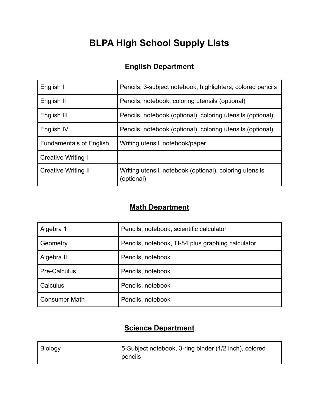# **BLPA High School Supply Lists**

# **English Department**

| English I                      | Pencils, 3-subject notebook, highlighters, colored pencils            |
|--------------------------------|-----------------------------------------------------------------------|
| English II                     | Pencils, notebook, coloring utensils (optional)                       |
| English III                    | Pencils, notebook (optional), coloring utensils (optional)            |
| English IV                     | Pencils, notebook (optional), coloring utensils (optional)            |
| <b>Fundamentals of English</b> | Writing utensil, notebook/paper                                       |
| <b>Creative Writing I</b>      |                                                                       |
| <b>Creative Writing II</b>     | Writing utensil, notebook (optional), coloring utensils<br>(optional) |

### **Math Department**

| Algebra 1            | Pencils, notebook, scientific calculator          |
|----------------------|---------------------------------------------------|
| Geometry             | Pencils, notebook, TI-84 plus graphing calculator |
| Algebra II           | Pencils, notebook                                 |
| <b>Pre-Calculus</b>  | Pencils, notebook                                 |
| Calculus             | Pencils, notebook                                 |
| <b>Consumer Math</b> | Pencils, notebook                                 |

### **Science Department**

| <b>Biology</b> | 5-Subject notebook, 3-ring binder (1/2 inch), colored |
|----------------|-------------------------------------------------------|
|                | pencils                                               |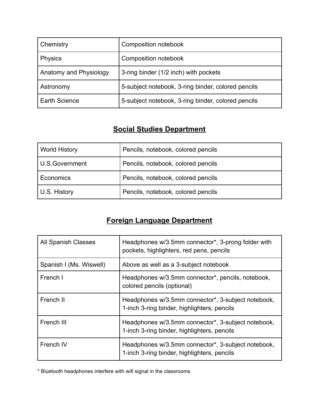| Chemistry              | Composition notebook                               |
|------------------------|----------------------------------------------------|
| <b>Physics</b>         | Composition notebook                               |
| Anatomy and Physiology | 3-ring binder (1/2 inch) with pockets              |
| Astronomy              | 5-subject notebook, 3-ring binder, colored pencils |
| <b>Earth Science</b>   | 5-subject notebook, 3-ring binder, colored pencils |

# **Social Studies Department**

| <b>World History</b> | Pencils, notebook, colored pencils |
|----------------------|------------------------------------|
| U.S.Government       | Pencils, notebook, colored pencils |
| Economics            | Pencils, notebook, colored pencils |
| U.S. History         | Pencils, notebook, colored pencils |

# **Foreign Language Department**

| <b>All Spanish Classes</b> | Headphones w/3.5mm connector*, 3-prong folder with<br>pockets, highlighters, red pens, pencils    |
|----------------------------|---------------------------------------------------------------------------------------------------|
| Spanish I (Ms. Wiswell)    | Above as well as a 3-subject notebook                                                             |
| French I                   | Headphones w/3.5mm connector*, pencils, notebook,<br>colored pencils (optional)                   |
| French II                  | Headphones w/3.5mm connector*, 3-subject notebook,<br>1-inch 3-ring binder, highlighters, pencils |
| French III                 | Headphones w/3.5mm connector*, 3-subject notebook,<br>1-inch 3-ring binder, highlighters, pencils |
| French IV                  | Headphones w/3.5mm connector*, 3-subject notebook,<br>1-inch 3-ring binder, highlighters, pencils |

\* Bluetooth headphones interfere with wifi signal in the classrooms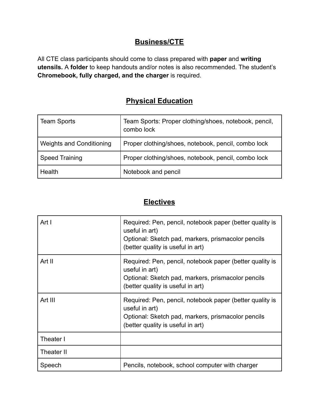#### **Business/CTE**

All CTE class participants should come to class prepared with **paper** and **writing utensils.** A **folder** to keep handouts and/or notes is also recommended. The student's **Chromebook, fully charged, and the charger** is required.

#### **Physical Education**

| <b>Team Sports</b>              | Team Sports: Proper clothing/shoes, notebook, pencil,<br>combo lock |
|---------------------------------|---------------------------------------------------------------------|
| <b>Weights and Conditioning</b> | Proper clothing/shoes, notebook, pencil, combo lock                 |
| <b>Speed Training</b>           | Proper clothing/shoes, notebook, pencil, combo lock                 |
| Health                          | Notebook and pencil                                                 |

#### **Electives**

| Art I      | Required: Pen, pencil, notebook paper (better quality is<br>useful in art)<br>Optional: Sketch pad, markers, prismacolor pencils<br>(better quality is useful in art) |
|------------|-----------------------------------------------------------------------------------------------------------------------------------------------------------------------|
| Art II     | Required: Pen, pencil, notebook paper (better quality is<br>useful in art)<br>Optional: Sketch pad, markers, prismacolor pencils<br>(better quality is useful in art) |
| Art III    | Required: Pen, pencil, notebook paper (better quality is<br>useful in art)<br>Optional: Sketch pad, markers, prismacolor pencils<br>(better quality is useful in art) |
| Theater I  |                                                                                                                                                                       |
| Theater II |                                                                                                                                                                       |
| Speech     | Pencils, notebook, school computer with charger                                                                                                                       |